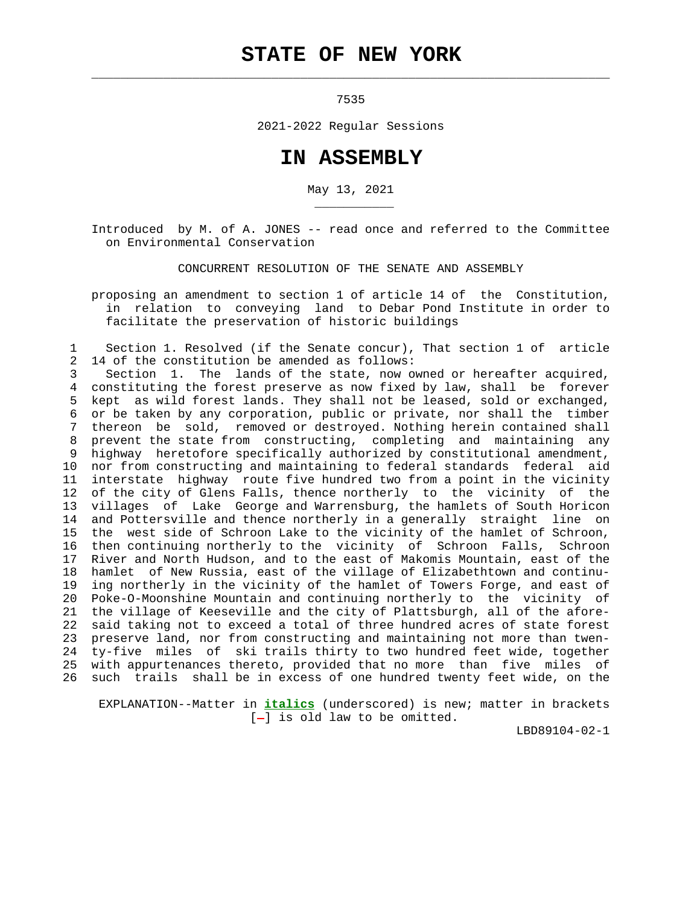## **STATE OF NEW YORK**

 $\mathcal{L}_\text{max} = \frac{1}{2} \sum_{i=1}^{n} \frac{1}{2} \sum_{i=1}^{n} \frac{1}{2} \sum_{i=1}^{n} \frac{1}{2} \sum_{i=1}^{n} \frac{1}{2} \sum_{i=1}^{n} \frac{1}{2} \sum_{i=1}^{n} \frac{1}{2} \sum_{i=1}^{n} \frac{1}{2} \sum_{i=1}^{n} \frac{1}{2} \sum_{i=1}^{n} \frac{1}{2} \sum_{i=1}^{n} \frac{1}{2} \sum_{i=1}^{n} \frac{1}{2} \sum_{i=1}^{n} \frac{1$ 

\_\_\_\_\_\_\_\_\_\_\_

7535

2021-2022 Regular Sessions

## **IN ASSEMBLY**

May 13, 2021

 Introduced by M. of A. JONES -- read once and referred to the Committee on Environmental Conservation

CONCURRENT RESOLUTION OF THE SENATE AND ASSEMBLY

 proposing an amendment to section 1 of article 14 of the Constitution, in relation to conveying land to Debar Pond Institute in order to facilitate the preservation of historic buildings

 1 Section 1. Resolved (if the Senate concur), That section 1 of article 2 14 of the constitution be amended as follows:

 3 Section 1. The lands of the state, now owned or hereafter acquired, 4 constituting the forest preserve as now fixed by law, shall be forever 5 kept as wild forest lands. They shall not be leased, sold or exchanged, 6 or be taken by any corporation, public or private, nor shall the timber 7 thereon be sold, removed or destroyed. Nothing herein contained shall 8 prevent the state from constructing, completing and maintaining any 9 highway heretofore specifically authorized by constitutional amendment, 10 nor from constructing and maintaining to federal standards federal aid 11 interstate highway route five hundred two from a point in the vicinity 12 of the city of Glens Falls, thence northerly to the vicinity of the 13 villages of Lake George and Warrensburg, the hamlets of South Horicon 14 and Pottersville and thence northerly in a generally straight line on 15 the west side of Schroon Lake to the vicinity of the hamlet of Schroon, 16 then continuing northerly to the vicinity of Schroon Falls, Schroon 17 River and North Hudson, and to the east of Makomis Mountain, east of the 18 hamlet of New Russia, east of the village of Elizabethtown and continu- 19 ing northerly in the vicinity of the hamlet of Towers Forge, and east of 20 Poke-O-Moonshine Mountain and continuing northerly to the vicinity of 21 the village of Keeseville and the city of Plattsburgh, all of the afore- 22 said taking not to exceed a total of three hundred acres of state forest 23 preserve land, nor from constructing and maintaining not more than twen- 24 ty-five miles of ski trails thirty to two hundred feet wide, together 25 with appurtenances thereto, provided that no more than five miles of 26 such trails shall be in excess of one hundred twenty feet wide, on the

 EXPLANATION--Matter in **italics** (underscored) is new; matter in brackets  $[-]$  is old law to be omitted.

LBD89104-02-1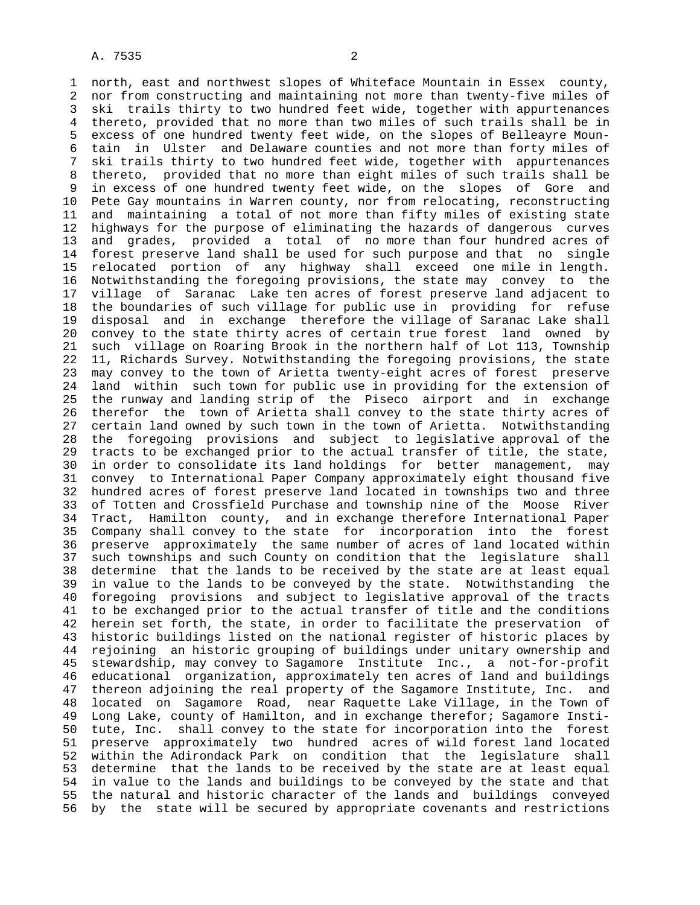1 north, east and northwest slopes of Whiteface Mountain in Essex county, 2 nor from constructing and maintaining not more than twenty-five miles of 3 ski trails thirty to two hundred feet wide, together with appurtenances 4 thereto, provided that no more than two miles of such trails shall be in 5 excess of one hundred twenty feet wide, on the slopes of Belleayre Moun- 6 tain in Ulster and Delaware counties and not more than forty miles of 7 ski trails thirty to two hundred feet wide, together with appurtenances 8 thereto, provided that no more than eight miles of such trails shall be 9 in excess of one hundred twenty feet wide, on the slopes of Gore and 10 Pete Gay mountains in Warren county, nor from relocating, reconstructing 11 and maintaining a total of not more than fifty miles of existing state 12 highways for the purpose of eliminating the hazards of dangerous curves 13 and grades, provided a total of no more than four hundred acres of 14 forest preserve land shall be used for such purpose and that no single 15 relocated portion of any highway shall exceed one mile in length. 16 Notwithstanding the foregoing provisions, the state may convey to the 17 village of Saranac Lake ten acres of forest preserve land adjacent to 18 the boundaries of such village for public use in providing for refuse 19 disposal and in exchange therefore the village of Saranac Lake shall 20 convey to the state thirty acres of certain true forest land owned by 21 such village on Roaring Brook in the northern half of Lot 113, Township 22 11, Richards Survey. Notwithstanding the foregoing provisions, the state 23 may convey to the town of Arietta twenty-eight acres of forest preserve 24 land within such town for public use in providing for the extension of 25 the runway and landing strip of the Piseco airport and in exchange 26 therefor the town of Arietta shall convey to the state thirty acres of 27 certain land owned by such town in the town of Arietta. Notwithstanding 28 the foregoing provisions and subject to legislative approval of the 29 tracts to be exchanged prior to the actual transfer of title, the state, 30 in order to consolidate its land holdings for better management, may 31 convey to International Paper Company approximately eight thousand five 32 hundred acres of forest preserve land located in townships two and three 33 of Totten and Crossfield Purchase and township nine of the Moose River 34 Tract, Hamilton county, and in exchange therefore International Paper 35 Company shall convey to the state for incorporation into the forest 36 preserve approximately the same number of acres of land located within 37 such townships and such County on condition that the legislature shall 38 determine that the lands to be received by the state are at least equal 39 in value to the lands to be conveyed by the state. Notwithstanding the 40 foregoing provisions and subject to legislative approval of the tracts 41 to be exchanged prior to the actual transfer of title and the conditions 42 herein set forth, the state, in order to facilitate the preservation of 43 historic buildings listed on the national register of historic places by 44 rejoining an historic grouping of buildings under unitary ownership and 45 stewardship, may convey to Sagamore Institute Inc., a not-for-profit 46 educational organization, approximately ten acres of land and buildings 47 thereon adjoining the real property of the Sagamore Institute, Inc. and 48 located on Sagamore Road, near Raquette Lake Village, in the Town of 49 Long Lake, county of Hamilton, and in exchange therefor; Sagamore Insti- 50 tute, Inc. shall convey to the state for incorporation into the forest 51 preserve approximately two hundred acres of wild forest land located 52 within the Adirondack Park on condition that the legislature shall 53 determine that the lands to be received by the state are at least equal<br>54 in value to the lands and buildings to be conveyed by the state and that in value to the lands and buildings to be conveyed by the state and that 55 the natural and historic character of the lands and buildings conveyed 56 by the state will be secured by appropriate covenants and restrictions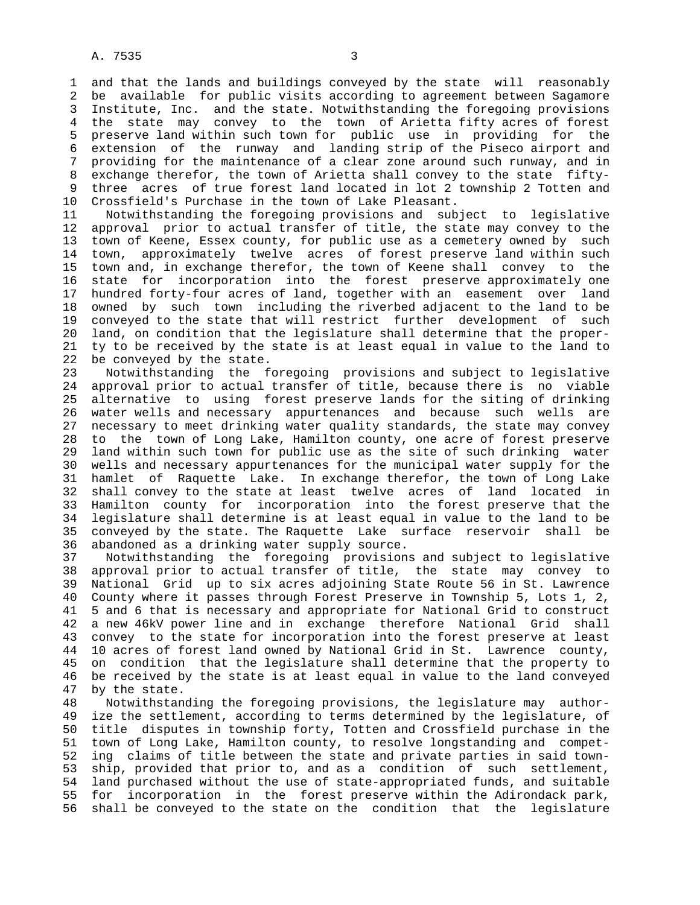1 and that the lands and buildings conveyed by the state will reasonably 2 be available for public visits according to agreement between Sagamore 3 Institute, Inc. and the state. Notwithstanding the foregoing provisions 4 the state may convey to the town of Arietta fifty acres of forest 5 preserve land within such town for public use in providing for the 6 extension of the runway and landing strip of the Piseco airport and 7 providing for the maintenance of a clear zone around such runway, and in 8 exchange therefor, the town of Arietta shall convey to the state fifty-<br>9 three acres of true forest land located in lot 2 township 2 Totten and three acres of true forest land located in lot 2 township 2 Totten and 10 Crossfield's Purchase in the town of Lake Pleasant.

 11 Notwithstanding the foregoing provisions and subject to legislative 12 approval prior to actual transfer of title, the state may convey to the 13 town of Keene, Essex county, for public use as a cemetery owned by such 14 town, approximately twelve acres of forest preserve land within such 15 town and, in exchange therefor, the town of Keene shall convey to the 16 state for incorporation into the forest preserve approximately one 17 hundred forty-four acres of land, together with an easement over land 18 owned by such town including the riverbed adjacent to the land to be 19 conveyed to the state that will restrict further development of such 20 land, on condition that the legislature shall determine that the proper- 21 ty to be received by the state is at least equal in value to the land to 22 be conveyed by the state.

 23 Notwithstanding the foregoing provisions and subject to legislative 24 approval prior to actual transfer of title, because there is no viable 25 alternative to using forest preserve lands for the siting of drinking 26 water wells and necessary appurtenances and because such wells are 27 necessary to meet drinking water quality standards, the state may convey 28 to the town of Long Lake, Hamilton county, one acre of forest preserve 29 land within such town for public use as the site of such drinking water 30 wells and necessary appurtenances for the municipal water supply for the 31 hamlet of Raquette Lake. In exchange therefor, the town of Long Lake 32 shall convey to the state at least twelve acres of land located in 33 Hamilton county for incorporation into the forest preserve that the 34 legislature shall determine is at least equal in value to the land to be 35 conveyed by the state. The Raquette Lake surface reservoir shall be 36 abandoned as a drinking water supply source.

 37 Notwithstanding the foregoing provisions and subject to legislative 38 approval prior to actual transfer of title, the state may convey to 39 National Grid up to six acres adjoining State Route 56 in St. Lawrence 40 County where it passes through Forest Preserve in Township 5, Lots 1, 2, 41 5 and 6 that is necessary and appropriate for National Grid to construct 42 a new 46kV power line and in exchange therefore National Grid shall 43 convey to the state for incorporation into the forest preserve at least 44 10 acres of forest land owned by National Grid in St. Lawrence county, 45 on condition that the legislature shall determine that the property to 46 be received by the state is at least equal in value to the land conveyed 47 by the state.

 48 Notwithstanding the foregoing provisions, the legislature may author- 49 ize the settlement, according to terms determined by the legislature, of 50 title disputes in township forty, Totten and Crossfield purchase in the 51 town of Long Lake, Hamilton county, to resolve longstanding and compet- 52 ing claims of title between the state and private parties in said town- 53 ship, provided that prior to, and as a condition of such settlement, 54 land purchased without the use of state-appropriated funds, and suitable 55 for incorporation in the forest preserve within the Adirondack park, 56 shall be conveyed to the state on the condition that the legislature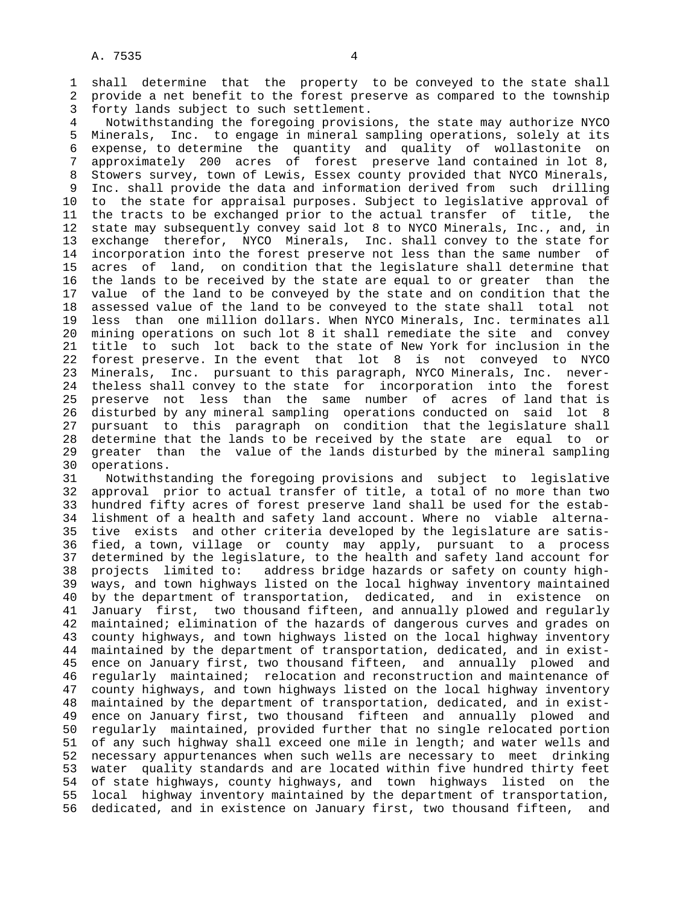1 shall determine that the property to be conveyed to the state shall 2 provide a net benefit to the forest preserve as compared to the township 3 forty lands subject to such settlement.

 4 Notwithstanding the foregoing provisions, the state may authorize NYCO 5 Minerals, Inc. to engage in mineral sampling operations, solely at its 6 expense, to determine the quantity and quality of wollastonite on 7 approximately 200 acres of forest preserve land contained in lot 8, 8 Stowers survey, town of Lewis, Essex county provided that NYCO Minerals,<br>9 Inc. shall provide the data and information derived from such drilling Inc. shall provide the data and information derived from such drilling 10 to the state for appraisal purposes. Subject to legislative approval of 11 the tracts to be exchanged prior to the actual transfer of title, the 12 state may subsequently convey said lot 8 to NYCO Minerals, Inc., and, in 13 exchange therefor, NYCO Minerals, Inc. shall convey to the state for 14 incorporation into the forest preserve not less than the same number of 15 acres of land, on condition that the legislature shall determine that 16 the lands to be received by the state are equal to or greater than the 17 value of the land to be conveyed by the state and on condition that the 18 assessed value of the land to be conveyed to the state shall total not 19 less than one million dollars. When NYCO Minerals, Inc. terminates all 20 mining operations on such lot 8 it shall remediate the site and convey 21 title to such lot back to the state of New York for inclusion in the 22 forest preserve. In the event that lot 8 is not conveyed to NYCO 23 Minerals, Inc. pursuant to this paragraph, NYCO Minerals, Inc. never- 24 theless shall convey to the state for incorporation into the forest 25 preserve not less than the same number of acres of land that is 26 disturbed by any mineral sampling operations conducted on said lot 8 27 pursuant to this paragraph on condition that the legislature shall 28 determine that the lands to be received by the state are equal to or 29 greater than the value of the lands disturbed by the mineral sampling 30 operations.

 31 Notwithstanding the foregoing provisions and subject to legislative 32 approval prior to actual transfer of title, a total of no more than two 33 hundred fifty acres of forest preserve land shall be used for the estab- 34 lishment of a health and safety land account. Where no viable alterna- 35 tive exists and other criteria developed by the legislature are satis- 36 fied, a town, village or county may apply, pursuant to a process 37 determined by the legislature, to the health and safety land account for 38 projects limited to: address bridge hazards or safety on county high- 39 ways, and town highways listed on the local highway inventory maintained 40 by the department of transportation, dedicated, and in existence on 41 January first, two thousand fifteen, and annually plowed and regularly 42 maintained; elimination of the hazards of dangerous curves and grades on 43 county highways, and town highways listed on the local highway inventory 44 maintained by the department of transportation, dedicated, and in exist- 45 ence on January first, two thousand fifteen, and annually plowed and 46 regularly maintained; relocation and reconstruction and maintenance of 47 county highways, and town highways listed on the local highway inventory 48 maintained by the department of transportation, dedicated, and in exist- 49 ence on January first, two thousand fifteen and annually plowed and 50 regularly maintained, provided further that no single relocated portion 51 of any such highway shall exceed one mile in length; and water wells and 52 necessary appurtenances when such wells are necessary to meet drinking 53 water quality standards and are located within five hundred thirty feet 54 of state highways, county highways, and town highways listed on the 55 local highway inventory maintained by the department of transportation, 56 dedicated, and in existence on January first, two thousand fifteen, and